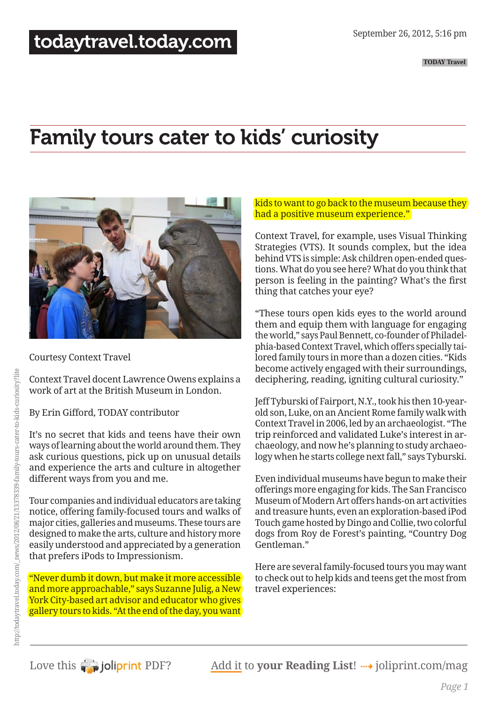# Family tours cater to kids' curiosity



Courtesy Context Travel

Context Travel docent Lawrence Owens explains a work of art at the British Museum in London.

By Erin Gifford, TODAY contributor

It's no secret that kids and teens have their own ways of learning about the world around them. They ask curious questions, pick up on unusual details and experience the arts and culture in altogether different ways from you and me.

Tour companies and individual educators are taking notice, offering family-focused tours and walks of major cities, galleries and museums. These tours are designed to make the arts, culture and history more easily understood and appreciated by a generation that prefers iPods to Impressionism.

"Never dumb it down, but make it more accessible and more approachable," says Suzanne Julig, a New York City-based art advisor and educator who gives gallery tours to kids. "At the end of the day, you want

## kids to want to go back to the museum because they had a positive museum experience."

Context Travel, for example, uses Visual Thinking Strategies (VTS). It sounds complex, but the idea behind VTS is simple: Ask children open-ended questions. What do you see here? What do you think that person is feeling in the painting? What's the first thing that catches your eye?

"These tours open kids eyes to the world around them and equip them with language for engaging the world," says Paul Bennett, co-founder of Philadelphia-based Context Travel, which offers specially tailored family tours in more than a dozen cities. "Kids become actively engaged with their surroundings, deciphering, reading, igniting cultural curiosity."

Jeff Tyburski of Fairport, N.Y., took his then 10-yearold son, Luke, on an Ancient Rome family walk with Context Travel in 2006, led by an archaeologist. "The trip reinforced and validated Luke's interest in archaeology, and now he's planning to study archaeology when he starts college next fall," says Tyburski.

Even individual museums have begun to make their offerings more engaging for kids. The San Francisco Museum of Modern Art offers hands-on art activities and treasure hunts, even an exploration-based iPod Touch game hosted by Dingo and Collie, two colorful dogs from Roy de Forest's painting, "Country Dog Gentleman."

Here are several family-focused tours you may want to check out to help kids and teens get the most from travel experiences: